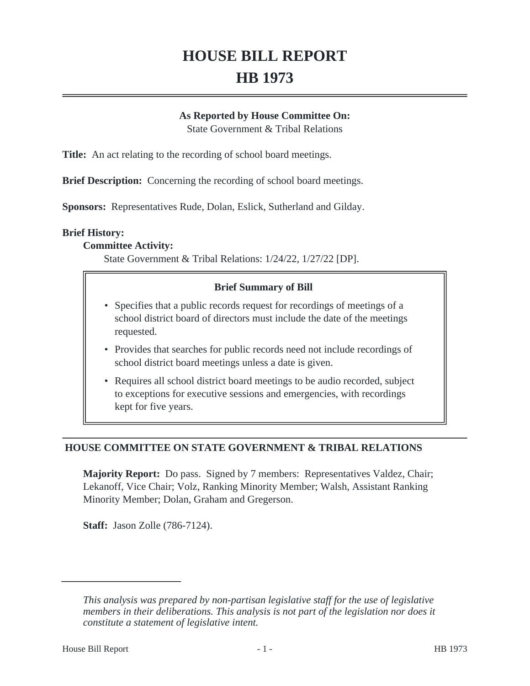# **HOUSE BILL REPORT HB 1973**

#### **As Reported by House Committee On:**

State Government & Tribal Relations

**Title:** An act relating to the recording of school board meetings.

**Brief Description:** Concerning the recording of school board meetings.

**Sponsors:** Representatives Rude, Dolan, Eslick, Sutherland and Gilday.

#### **Brief History:**

### **Committee Activity:**

State Government & Tribal Relations: 1/24/22, 1/27/22 [DP].

### **Brief Summary of Bill**

- Specifies that a public records request for recordings of meetings of a school district board of directors must include the date of the meetings requested.
- Provides that searches for public records need not include recordings of school district board meetings unless a date is given.
- Requires all school district board meetings to be audio recorded, subject to exceptions for executive sessions and emergencies, with recordings kept for five years.

# **HOUSE COMMITTEE ON STATE GOVERNMENT & TRIBAL RELATIONS**

**Majority Report:** Do pass. Signed by 7 members: Representatives Valdez, Chair; Lekanoff, Vice Chair; Volz, Ranking Minority Member; Walsh, Assistant Ranking Minority Member; Dolan, Graham and Gregerson.

**Staff:** Jason Zolle (786-7124).

*This analysis was prepared by non-partisan legislative staff for the use of legislative members in their deliberations. This analysis is not part of the legislation nor does it constitute a statement of legislative intent.*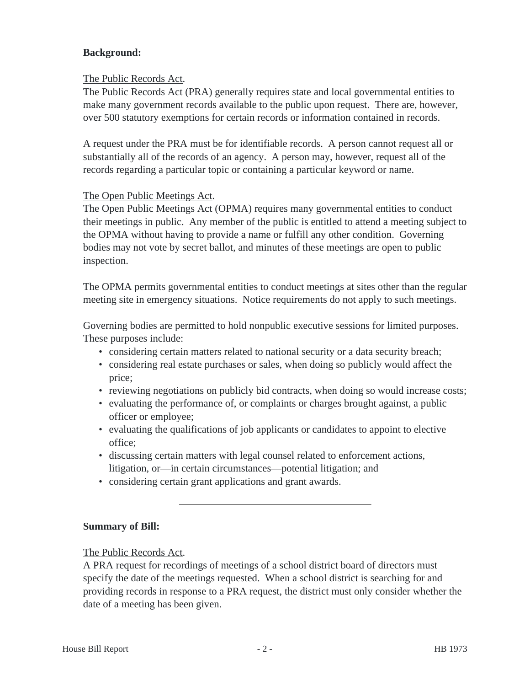# **Background:**

# The Public Records Act.

The Public Records Act (PRA) generally requires state and local governmental entities to make many government records available to the public upon request. There are, however, over 500 statutory exemptions for certain records or information contained in records.

A request under the PRA must be for identifiable records. A person cannot request all or substantially all of the records of an agency. A person may, however, request all of the records regarding a particular topic or containing a particular keyword or name.

# The Open Public Meetings Act.

The Open Public Meetings Act (OPMA) requires many governmental entities to conduct their meetings in public. Any member of the public is entitled to attend a meeting subject to the OPMA without having to provide a name or fulfill any other condition. Governing bodies may not vote by secret ballot, and minutes of these meetings are open to public inspection.

The OPMA permits governmental entities to conduct meetings at sites other than the regular meeting site in emergency situations. Notice requirements do not apply to such meetings.

Governing bodies are permitted to hold nonpublic executive sessions for limited purposes. These purposes include:

- considering certain matters related to national security or a data security breach;
- considering real estate purchases or sales, when doing so publicly would affect the price;
- reviewing negotiations on publicly bid contracts, when doing so would increase costs;
- evaluating the performance of, or complaints or charges brought against, a public officer or employee;
- evaluating the qualifications of job applicants or candidates to appoint to elective office;
- discussing certain matters with legal counsel related to enforcement actions, litigation, or—in certain circumstances—potential litigation; and
- considering certain grant applications and grant awards.

# **Summary of Bill:**

# The Public Records Act.

A PRA request for recordings of meetings of a school district board of directors must specify the date of the meetings requested. When a school district is searching for and providing records in response to a PRA request, the district must only consider whether the date of a meeting has been given.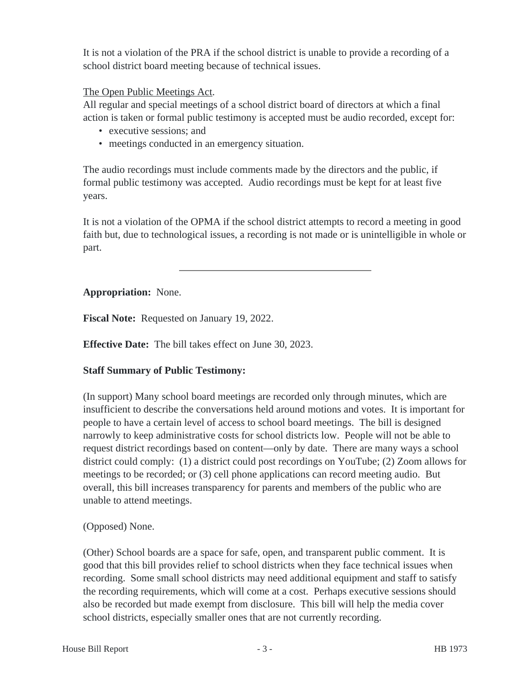It is not a violation of the PRA if the school district is unable to provide a recording of a school district board meeting because of technical issues.

# The Open Public Meetings Act.

All regular and special meetings of a school district board of directors at which a final action is taken or formal public testimony is accepted must be audio recorded, except for:

- executive sessions; and
- meetings conducted in an emergency situation.

The audio recordings must include comments made by the directors and the public, if formal public testimony was accepted. Audio recordings must be kept for at least five years.

It is not a violation of the OPMA if the school district attempts to record a meeting in good faith but, due to technological issues, a recording is not made or is unintelligible in whole or part.

# **Appropriation:** None.

**Fiscal Note:** Requested on January 19, 2022.

**Effective Date:** The bill takes effect on June 30, 2023.

# **Staff Summary of Public Testimony:**

(In support) Many school board meetings are recorded only through minutes, which are insufficient to describe the conversations held around motions and votes. It is important for people to have a certain level of access to school board meetings. The bill is designed narrowly to keep administrative costs for school districts low. People will not be able to request district recordings based on content—only by date. There are many ways a school district could comply: (1) a district could post recordings on YouTube; (2) Zoom allows for meetings to be recorded; or (3) cell phone applications can record meeting audio. But overall, this bill increases transparency for parents and members of the public who are unable to attend meetings.

# (Opposed) None.

(Other) School boards are a space for safe, open, and transparent public comment. It is good that this bill provides relief to school districts when they face technical issues when recording. Some small school districts may need additional equipment and staff to satisfy the recording requirements, which will come at a cost. Perhaps executive sessions should also be recorded but made exempt from disclosure. This bill will help the media cover school districts, especially smaller ones that are not currently recording.